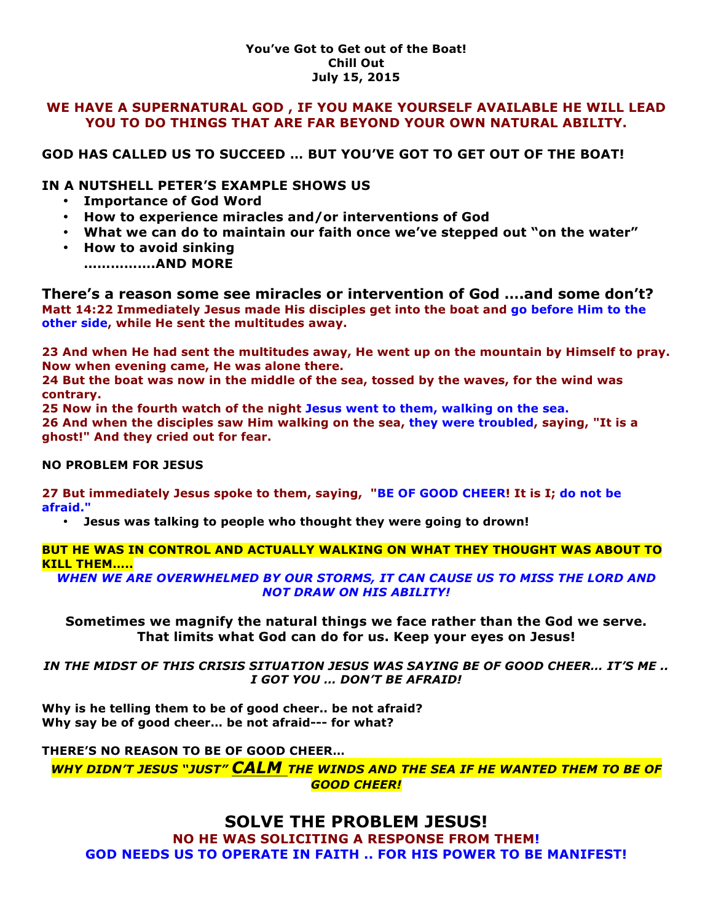#### **You've Got to Get out of the Boat! Chill Out July 15, 2015**

#### **WE HAVE A SUPERNATURAL GOD , IF YOU MAKE YOURSELF AVAILABLE HE WILL LEAD YOU TO DO THINGS THAT ARE FAR BEYOND YOUR OWN NATURAL ABILITY.**

# **GOD HAS CALLED US TO SUCCEED … BUT YOU'VE GOT TO GET OUT OF THE BOAT!**

## **IN A NUTSHELL PETER'S EXAMPLE SHOWS US**

- **Importance of God Word**
- **How to experience miracles and/or interventions of God**
- **What we can do to maintain our faith once we've stepped out "on the water"**
- **How to avoid sinking …………….AND MORE**

**There's a reason some see miracles or intervention of God ….and some don't? Matt 14:22 Immediately Jesus made His disciples get into the boat and go before Him to the other side, while He sent the multitudes away.** 

**23 And when He had sent the multitudes away, He went up on the mountain by Himself to pray. Now when evening came, He was alone there.** 

**24 But the boat was now in the middle of the sea, tossed by the waves, for the wind was contrary.** 

**25 Now in the fourth watch of the night Jesus went to them, walking on the sea.**

**26 And when the disciples saw Him walking on the sea, they were troubled, saying, "It is a ghost!" And they cried out for fear.** 

#### **NO PROBLEM FOR JESUS**

**27 But immediately Jesus spoke to them, saying, "BE OF GOOD CHEER! It is I; do not be afraid."** 

• **Jesus was talking to people who thought they were going to drown!**

#### **BUT HE WAS IN CONTROL AND ACTUALLY WALKING ON WHAT THEY THOUGHT WAS ABOUT TO KILL THEM…..**

*WHEN WE ARE OVERWHELMED BY OUR STORMS, IT CAN CAUSE US TO MISS THE LORD AND NOT DRAW ON HIS ABILITY!*

**Sometimes we magnify the natural things we face rather than the God we serve. That limits what God can do for us. Keep your eyes on Jesus!**

*IN THE MIDST OF THIS CRISIS SITUATION JESUS WAS SAYING BE OF GOOD CHEER… IT'S ME .. I GOT YOU … DON'T BE AFRAID!*

**Why is he telling them to be of good cheer.. be not afraid? Why say be of good cheer… be not afraid--- for what?**

#### **THERE'S NO REASON TO BE OF GOOD CHEER…**

*WHY DIDN'T JESUS "JUST" CALM THE WINDS AND THE SEA IF HE WANTED THEM TO BE OF GOOD CHEER!*

# **SOLVE THE PROBLEM JESUS!**

**NO HE WAS SOLICITING A RESPONSE FROM THEM! GOD NEEDS US TO OPERATE IN FAITH .. FOR HIS POWER TO BE MANIFEST!**